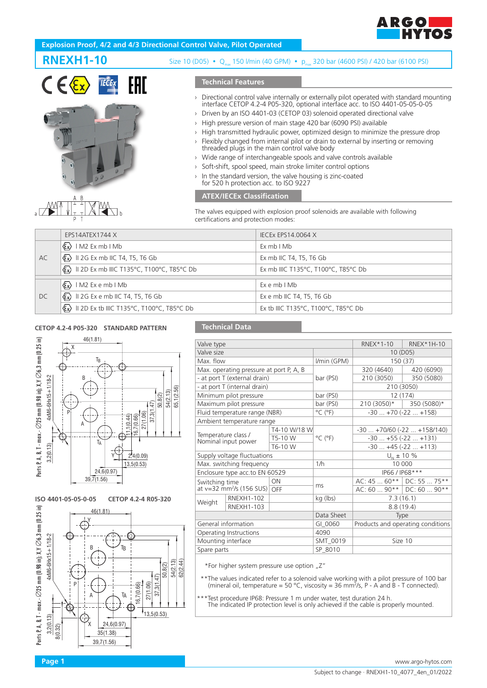

## **Explosion Proof, 4/2 and 4/3 Directional Control Valve, Pilot Operated**





# **RNEXH1-10** Size 10 (D05) • Q<sub>max</sub> 150 l/min (40 GPM) • p<sub>max</sub> 320 bar (4600 PSI) / 420 bar (6100 PSI)

## **Technical Features**

- › Directional control valve internally or externally pilot operated with standard mounting interface CETOP 4.2-4 P05-320, optional interface acc. to ISO 4401-05-05-0-05
- › Driven by an ISO 4401-03 (CETOP 03) solenoid operated directional valve
- › High pressure version of main stage 420 bar (6090 PSI) available
- › High transmitted hydraulic power, optimized design to minimize the pressure drop
- › Flexibly changed from internal pilot or drain to external by inserting or removing threaded plugs in the main control valve body
- › Wide range of interchangeable spools and valve controls available
- › Soft-shift, spool speed, main stroke limiter control options
- In the standard version, the valve housing is zinc-coated for 520 h protection acc. to ISO 9227

## **ATEX/IECEx Classification**

The valves equipped with explosion proof solenoids are available with following certifications and protection modes:

|    | EPS14ATEX1744 X                                                                             | <b>IECEX EPS14.0064 X</b>           |
|----|---------------------------------------------------------------------------------------------|-------------------------------------|
| AC | $\langle \xi_{\mathbf{x}} \rangle$   M2 Ex mb   Mb                                          | ExmbIMb                             |
|    | $\langle \xi \overline{x} \rangle$ II 2G Ex mb IIC T4, T5, T6 Gb                            | Ex mb IIC T4, T5, T6 Gb             |
|    | $\langle \mathbf{\mathcal{E}} \mathbf{x} \rangle$ II 2D Ex mb IIIC T135°C, T100°C, T85°C Db | Ex mb IIIC T135°C, T100°C, T85°C Db |
|    |                                                                                             |                                     |
| DC | $\langle \mathcal{E}_x \rangle$ IM2 Exemb IMb                                               | $Ex$ e mb $IMb$                     |
|    | $\langle \xi_{\mathbf{x}} \rangle$ II 2G Ex e mb IIC T4, T5, T6 Gb                          | Ex e mb IIC T4, T5, T6 Gb           |
|    | $\langle \mathbf{\mathbb{E}} \mathbf{x} \rangle$ II 2D Ex tb IIIC T135°C, T100°C, T85°C Db  | Ex tb IIIC T135°C, T100°C, T85°C Db |

#### **CETOP 4.2-4 P05-320 STANDARD PATTERN**



**ISO 4401-05-05-0-05 CETOP 4.2-4 R05-320**



## **Technical Data**

| Valve type          |                                            |              |                              | $RNEX*1-10$                       | RNEX*1H-10  |  |  |
|---------------------|--------------------------------------------|--------------|------------------------------|-----------------------------------|-------------|--|--|
|                     |                                            |              |                              |                                   |             |  |  |
| Valve size          |                                            |              |                              | 10 (D05)                          |             |  |  |
| Max. flow           |                                            |              | I/min (GPM)                  | 150 (37)                          |             |  |  |
|                     | Max. operating pressure at port P, A, B    |              |                              | 320 (4640)                        | 420 (6090)  |  |  |
|                     | - at port T (external drain)               |              | bar (PSI)                    | 210 (3050)                        | 350 (5080)  |  |  |
|                     | - at port T (internal drain)               |              |                              | 210 (3050)                        |             |  |  |
|                     | Minimum pilot pressure                     |              | bar (PSI)                    | 12 (174)                          |             |  |  |
|                     | Maximum pilot pressure                     |              | bar (PSI)                    | $210(3050)*$                      | 350 (5080)* |  |  |
|                     | Fluid temperature range (NBR)              |              | $^{\circ}$ C ( $^{\circ}$ F) | $-30+70(-22+158)$                 |             |  |  |
|                     | Ambient temperature range                  |              |                              |                                   |             |  |  |
|                     |                                            | T4-10 W/18 W |                              | $-30+70/60$ $(-22+158/140)$       |             |  |  |
|                     | Temperature class /<br>Nominal input power | T5-10 W      | $^{\circ}$ C ( $^{\circ}$ F) | $-30$ $+55$ ( $-22$ $+131$ )      |             |  |  |
|                     |                                            | T6-10 W      |                              | $-30+45(-22+113)$                 |             |  |  |
|                     | Supply voltage fluctuations                |              |                              | $U_{N}$ ± 10 %                    |             |  |  |
|                     | Max. switching frequency                   |              | 1/h                          | 10 000                            |             |  |  |
|                     | Enclosure type acc.to EN 60529             |              |                              | IP66 / IP68***                    |             |  |  |
| Switching time      |                                            | ON           | ms                           | AC: 45  60**   DC: 55  75**       |             |  |  |
|                     | at $v=32$ mm <sup>2</sup> /s (156 SUS) OFF |              |                              | AC: 60  90**   DC: 60  90**       |             |  |  |
| Weight              | <b>RNEXH1-102</b>                          |              | kg (lbs)                     | 7.3(16.1)                         |             |  |  |
|                     | <b>RNEXH1-103</b>                          |              |                              | 8.8(19.4)                         |             |  |  |
|                     |                                            |              | Data Sheet                   | Type                              |             |  |  |
| General information |                                            |              | GI 0060                      | Products and operating conditions |             |  |  |
|                     | Operating Instructions                     |              | 4090                         |                                   |             |  |  |
| Mounting interface  |                                            |              | SMT_0019                     | Size 10                           |             |  |  |
| Spare parts         |                                            |              | SP_8010                      |                                   |             |  |  |
|                     |                                            |              |                              |                                   |             |  |  |

\*For higher system pressure use option  $nZ''$ 

\*\*The values indicated refer to a solenoid valve working with a pilot pressure of 100 bar (mineral oil, temperature = 50 °C, viscosity = 36 mm2 /s, P - A and B - T connected).

 \*\*\*Test procedure IP68: Pressure 1 m under water, test duration 24 h. The indicated IP protection level is only achieved if the cable is properly mounted.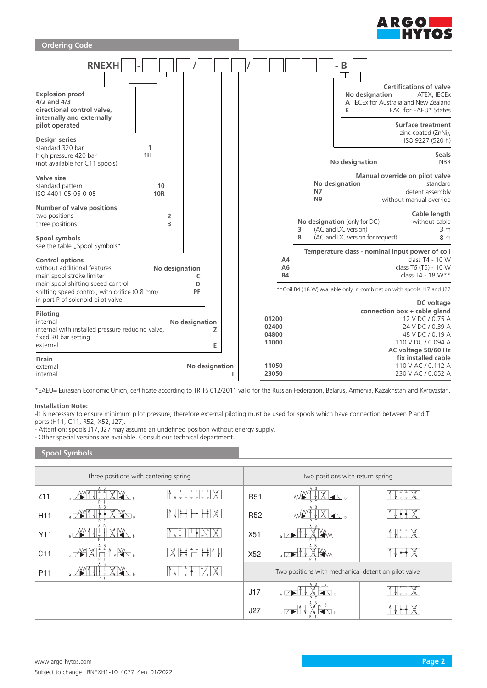



\*EAEU= Eurasian Economic Union, certificate according to TR TS 012/2011 valid for the Russian Federation, Belarus, Armenia, Kazakhstan and Kyrgyzstan.

### **Installation Note:**

-It is necessary to ensure minimum pilot pressure, therefore external piloting must be used for spools which have connection between P and T ports (H11, C11, R52, X52, J27).

- Attention: spools J17, J27 may assume an undefined position without energy supply.

- Other special versions are available. Consult our technical department.

## **Spool Symbols**

|                 | Three positions with centering spring | Two positions with return spring |                                                     |                      |  |  |  |
|-----------------|---------------------------------------|----------------------------------|-----------------------------------------------------|----------------------|--|--|--|
| Z11             | A B                                   | <b>R51</b>                       | A B<br>K<br>ΜW                                      |                      |  |  |  |
| H11             | - R                                   | R <sub>52</sub>                  | $\blacksquare$                                      |                      |  |  |  |
| Y11             |                                       | X51                              | Щм<br>$\sqrt{ }$                                    | $\chi$<br>ا - ∽الأ آ |  |  |  |
| C11             | A B                                   | X52                              | A B<br>Жm<br>$\sqrt{ }$                             |                      |  |  |  |
| P <sub>11</sub> |                                       |                                  | Two positions with mechanical detent on pilot valve |                      |  |  |  |
|                 |                                       | J17                              | $\overline{\phantom{a}}$                            |                      |  |  |  |
|                 |                                       | J27                              |                                                     |                      |  |  |  |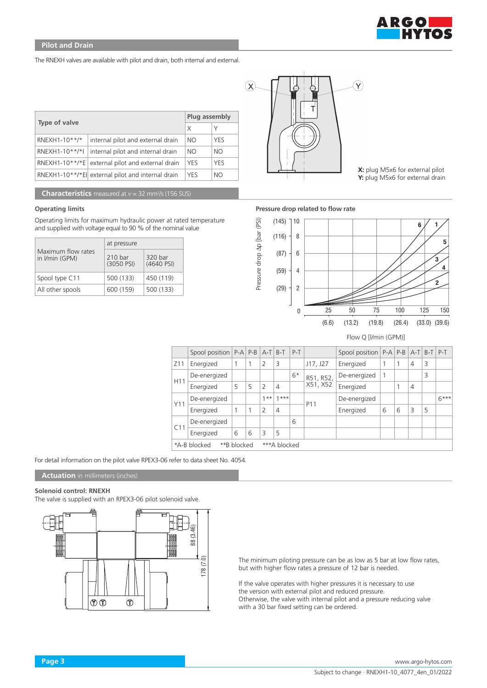

The RNEXH valves are available with pilot and drain, both internal and external.

|                | Plug assembly                                      |            |            |  |
|----------------|----------------------------------------------------|------------|------------|--|
| Type of valve  | X                                                  | Y          |            |  |
| RNEXH1-10**/*  | internal pilot and external drain                  | NO         | <b>YFS</b> |  |
| RNEXH1-10**/*I | internal pilot and internal drain                  | <b>NO</b>  | NO.        |  |
|                | RNEXH1-10**/*E external pilot and external drain   | <b>YES</b> | <b>YFS</b> |  |
|                | RNEXH1-10**/*El  external pilot and internal drain | <b>YES</b> | NO.        |  |

**Characteristics** measured at v = 32 mm<sup>2</sup>/s (156 SUS)

#### **Operating limits**

Operating limits for maximum hydraulic power at rated temperature and supplied with voltage equal to 90 % of the nominal value

|                                      | at pressure           |                       |  |  |  |  |
|--------------------------------------|-----------------------|-----------------------|--|--|--|--|
| Maximum flow rates<br>in I/min (GPM) | 210 bar<br>(3050 PSI) | 320 bar<br>(4640 PSI) |  |  |  |  |
| Spool type C11                       | 500 (133)             | 450 (119)             |  |  |  |  |
| All other spools                     | 600 (159)             | 500 (133)             |  |  |  |  |



**X:** plug M5x6 for external pilot **Y:** plug M5x6 for external drain

#### **Pressure drop related to flow rate**



Flow Q [l/min (GPM)]

|                                             | Spool position $ P-A P-B A-T B-T$ |   |   |                |                | $P-T$ |                       | Spool position   P-A   P-B   A-T   B-T   P-T |   |   |                |   |        |
|---------------------------------------------|-----------------------------------|---|---|----------------|----------------|-------|-----------------------|----------------------------------------------|---|---|----------------|---|--------|
| Z <sub>11</sub>                             | Energized                         | 1 |   | $\overline{2}$ | 3              |       | J17, J27              | Energized                                    |   |   | $\overline{4}$ | 3 |        |
| H <sub>11</sub>                             | De-energized                      |   |   |                |                | $6*$  | R51, R52,<br>X51, X52 | De-energized                                 |   |   |                | 3 |        |
|                                             | Energized                         | 5 | 5 | $\overline{2}$ | $\overline{4}$ |       |                       | Energized                                    |   |   | $\overline{4}$ |   |        |
| Y11                                         | De-energized                      |   |   | $***$          | $1***$         |       | P <sub>11</sub>       | De-energized                                 |   |   |                |   | $6***$ |
|                                             | Energized                         | 1 |   | $\overline{2}$ | $\overline{4}$ |       |                       | Energized                                    | 6 | 6 | 3              | 5 |        |
| C11                                         | De-energized                      |   |   |                |                | 6     |                       |                                              |   |   |                |   |        |
|                                             | Energized                         | 6 | 6 | 3              | 5              |       |                       |                                              |   |   |                |   |        |
| *A-B blocked<br>**B blocked<br>***A blocked |                                   |   |   |                |                |       |                       |                                              |   |   |                |   |        |

For detail information on the pilot valve RPEX3-06 refer to data sheet No. 4054.

## **Actuation** in millimeters (inches)

#### **Solenoid control: RNEXH**

The valve is supplied with an RPEX3-06 pilot solenoid valve.



The minimum piloting pressure can be as low as 5 bar at low flow rates, but with higher flow rates a pressure of 12 bar is needed.

If the valve operates with higher pressures it is necessary to use the version with external pilot and reduced pressure. Otherwise, the valve with internal pilot and a pressure reducing valve with a 30 bar fixed setting can be ordered.